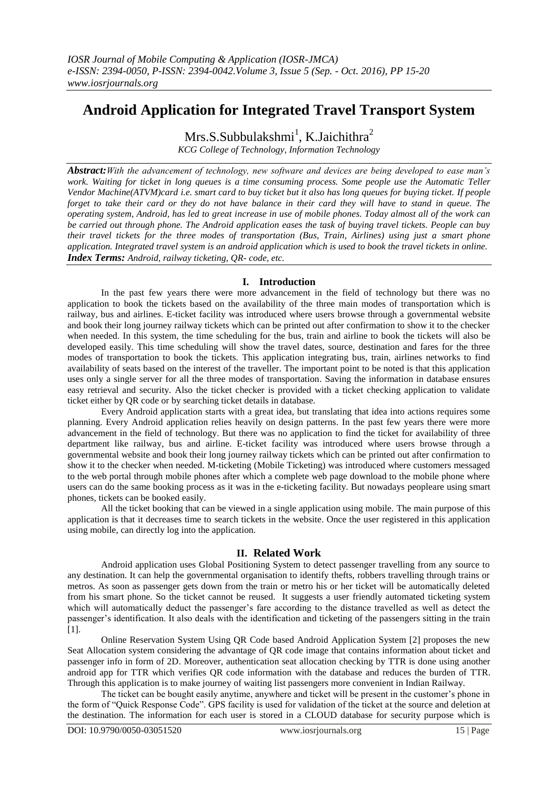# **Android Application for Integrated Travel Transport System**

 $Mrs.S. Subbulakshmi<sup>1</sup>, K.Jaichithra<sup>2</sup>$ 

*KCG College of Technology, Information Technology*

*Abstract:With the advancement of technology, new software and devices are being developed to ease man's work. Waiting for ticket in long queues is a time consuming process. Some people use the Automatic Teller Vendor Machine(ATVM)card i.e. smart card to buy ticket but it also has long queues for buying ticket. If people forget to take their card or they do not have balance in their card they will have to stand in queue. The operating system, Android, has led to great increase in use of mobile phones. Today almost all of the work can be carried out through phone. The Android application eases the task of buying travel tickets. People can buy their travel tickets for the three modes of transportation (Bus, Train, Airlines) using just a smart phone application. Integrated travel system is an android application which is used to book the travel tickets in online. Index Terms: Android, railway ticketing, QR- code, etc.*

## **I. Introduction**

In the past few years there were more advancement in the field of technology but there was no application to book the tickets based on the availability of the three main modes of transportation which is railway, bus and airlines. E-ticket facility was introduced where users browse through a governmental website and book their long journey railway tickets which can be printed out after confirmation to show it to the checker when needed. In this system, the time scheduling for the bus, train and airline to book the tickets will also be developed easily. This time scheduling will show the travel dates, source, destination and fares for the three modes of transportation to book the tickets. This application integrating bus, train, airlines networks to find availability of seats based on the interest of the traveller. The important point to be noted is that this application uses only a single server for all the three modes of transportation. Saving the information in database ensures easy retrieval and security. Also the ticket checker is provided with a ticket checking application to validate ticket either by QR code or by searching ticket details in database.

Every Android application starts with a great idea, but translating that idea into actions requires some planning. Every Android application relies heavily on design patterns. In the past few years there were more advancement in the field of technology. But there was no application to find the ticket for availability of three department like railway, bus and airline. E-ticket facility was introduced where users browse through a governmental website and book their long journey railway tickets which can be printed out after confirmation to show it to the checker when needed. M-ticketing (Mobile Ticketing) was introduced where customers messaged to the web portal through mobile phones after which a complete web page download to the mobile phone where users can do the same booking process as it was in the e-ticketing facility. But nowadays peopleare using smart phones, tickets can be booked easily.

All the ticket booking that can be viewed in a single application using mobile. The main purpose of this application is that it decreases time to search tickets in the website. Once the user registered in this application using mobile, can directly log into the application.

## **II. Related Work**

Android application uses Global Positioning System to detect passenger travelling from any source to any destination. It can help the governmental organisation to identify thefts, robbers travelling through trains or metros. As soon as passenger gets down from the train or metro his or her ticket will be automatically deleted from his smart phone. So the ticket cannot be reused. It suggests a user friendly automated ticketing system which will automatically deduct the passenger's fare according to the distance travelled as well as detect the passenger's identification. It also deals with the identification and ticketing of the passengers sitting in the train [1].

Online Reservation System Using QR Code based Android Application System [2] proposes the new Seat Allocation system considering the advantage of QR code image that contains information about ticket and passenger info in form of 2D. Moreover, authentication seat allocation checking by TTR is done using another android app for TTR which verifies QR code information with the database and reduces the burden of TTR. Through this application is to make journey of waiting list passengers more convenient in Indian Railway.

The ticket can be bought easily anytime, anywhere and ticket will be present in the customer's phone in the form of "Quick Response Code". GPS facility is used for validation of the ticket at the source and deletion at the destination. The information for each user is stored in a CLOUD database for security purpose which is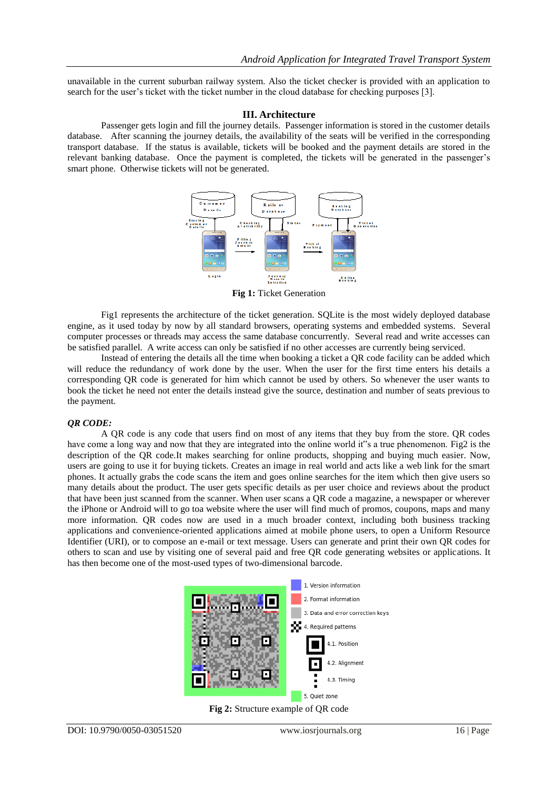unavailable in the current suburban railway system. Also the ticket checker is provided with an application to search for the user's ticket with the ticket number in the cloud database for checking purposes [3].

#### **III. Architecture**

Passenger gets login and fill the journey details. Passenger information is stored in the customer details database. After scanning the journey details, the availability of the seats will be verified in the corresponding transport database. If the status is available, tickets will be booked and the payment details are stored in the relevant banking database. Once the payment is completed, the tickets will be generated in the passenger's smart phone. Otherwise tickets will not be generated.



**Fig 1:** Ticket Generation

Fig1 represents the architecture of the ticket generation. SQLite is the most widely deployed database engine, as it used today by now by all standard browsers, operating systems and embedded systems. Several computer processes or threads may access the same database concurrently. Several read and write accesses can be satisfied parallel. A write access can only be satisfied if no other accesses are currently being serviced.

Instead of entering the details all the time when booking a ticket a QR code facility can be added which will reduce the redundancy of work done by the user. When the user for the first time enters his details a corresponding QR code is generated for him which cannot be used by others. So whenever the user wants to book the ticket he need not enter the details instead give the source, destination and number of seats previous to the payment.

#### *QR CODE:*

A QR code is any code that users find on most of any items that they buy from the store. QR codes have come a long way and now that they are integrated into the online world it"s a true phenomenon. Fig2 is the description of the QR code.It makes searching for online products, shopping and buying much easier. Now, users are going to use it for buying tickets. Creates an image in real world and acts like a web link for the smart phones. It actually grabs the code scans the item and goes online searches for the item which then give users so many details about the product. The user gets specific details as per user choice and reviews about the product that have been just scanned from the scanner. When user scans a QR code a magazine, a newspaper or wherever the iPhone or Android will to go toa website where the user will find much of promos, coupons, maps and many more information. QR codes now are used in a much broader context, including both business tracking applications and convenience-oriented applications aimed at mobile phone users, to open a Uniform Resource Identifier (URI), or to compose an e-mail or text message. Users can generate and print their own QR codes for others to scan and use by visiting one of several paid and free QR code generating websites or applications. It has then become one of the most-used types of two-dimensional barcode.



**Fig 2:** Structure example of QR code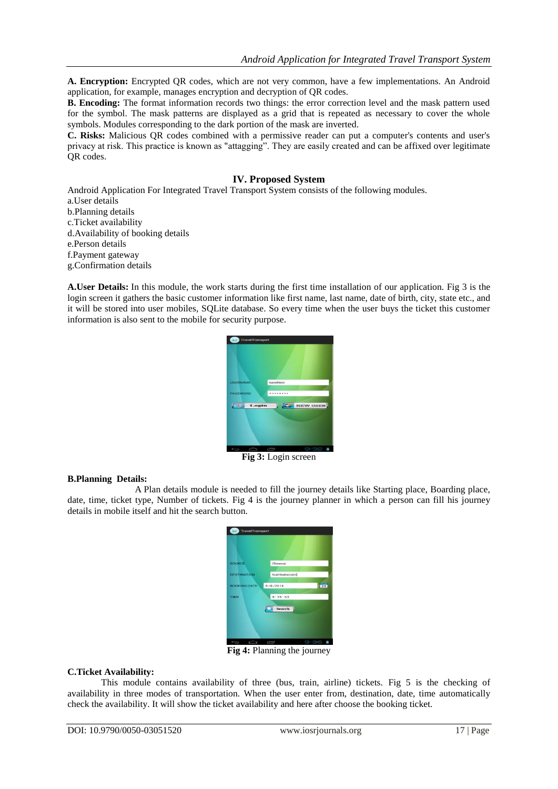**A. Encryption:** Encrypted QR codes, which are not very common, have a few implementations. An Android application, for example, manages encryption and decryption of QR codes.

**B. Encoding:** The format information records two things: the error correction level and the mask pattern used for the symbol. The mask patterns are displayed as a grid that is repeated as necessary to cover the whole symbols. Modules corresponding to the dark portion of the mask are inverted.

**C. Risks:** Malicious QR codes combined with a permissive reader can put a computer's contents and user's privacy at risk. This practice is known as "attagging". They are easily created and can be affixed over legitimate OR codes.

## **IV. Proposed System**

Android Application For Integrated Travel Transport System consists of the following modules.

a.User details b.Planning details c.Ticket availability d.Availability of booking details e.Person details f.Payment gateway g.Confirmation details

**A.User Details:** In this module, the work starts during the first time installation of our application. Fig 3 is the login screen it gathers the basic customer information like first name, last name, date of birth, city, state etc., and it will be stored into user mobiles, SQLite database. So every time when the user buys the ticket this customer information is also sent to the mobile for security purpose.



**Fig 3:** Login screen

## **B.Planning Details:**

A Plan details module is needed to fill the journey details like Starting place, Boarding place, date, time, ticket type, Number of tickets. Fig 4 is the journey planner in which a person can fill his journey details in mobile itself and hit the search button.

| <b>SOURCE</b>       | Chennai             |
|---------------------|---------------------|
| <b>DESTINATION</b>  | Kumbakonam          |
| <b>BOOKING DATE</b> | EE!<br>8/4/2014     |
| <b>TIME</b>         | 9:36:53             |
|                     | Search              |
|                     |                     |
|                     |                     |
|                     | 9:36<br>٠<br>$\Box$ |

**Fig 4:** Planning the journey

## **C.Ticket Availability:**

This module contains availability of three (bus, train, airline) tickets. Fig 5 is the checking of availability in three modes of transportation. When the user enter from, destination, date, time automatically check the availability. It will show the ticket availability and here after choose the booking ticket.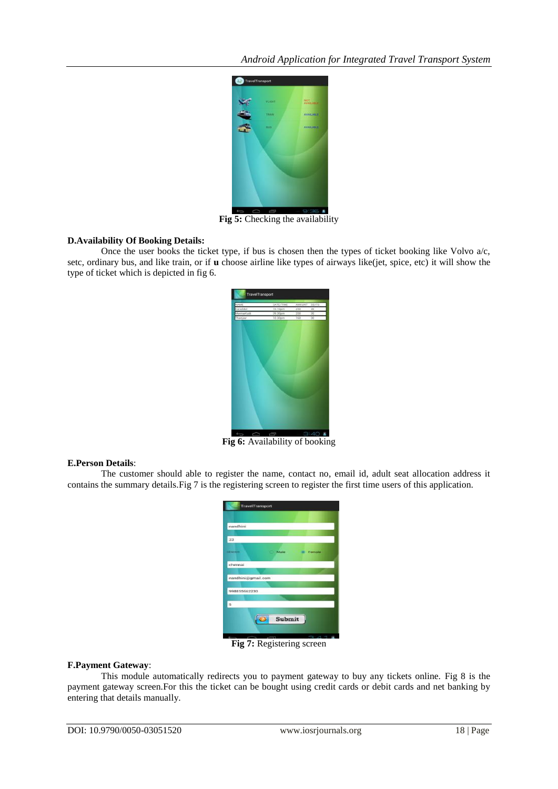*Android Application for Integrated Travel Transport System*



**Fig 5:** Checking the availability

## **D.Availability Of Booking Details:**

Once the user books the ticket type, if bus is chosen then the types of ticket booking like Volvo a/c, setc, ordinary bus, and like train, or if **u** choose airline like types of airways like(jet, spice, etc) it will show the type of ticket which is depicted in fig 6.



**Fig 6:** Availability of booking

#### **E.Person Details**:

The customer should able to register the name, contact no, email id, adult seat allocation address it contains the summary details.Fig 7 is the registering screen to register the first time users of this application.

| nandhini           |        |               |  |
|--------------------|--------|---------------|--|
| 23                 |        |               |  |
| <b>STERN STAR</b>  | Male   | <b>Female</b> |  |
| chennai            |        |               |  |
|                    |        |               |  |
| nandhini@gmail.com |        |               |  |
| 998855662233       |        |               |  |
| 5                  |        |               |  |
|                    | Submit |               |  |

**Fig 7:** Registering screen

## **F.Payment Gateway**:

This module automatically redirects you to payment gateway to buy any tickets online. Fig 8 is the payment gateway screen.For this the ticket can be bought using credit cards or debit cards and net banking by entering that details manually.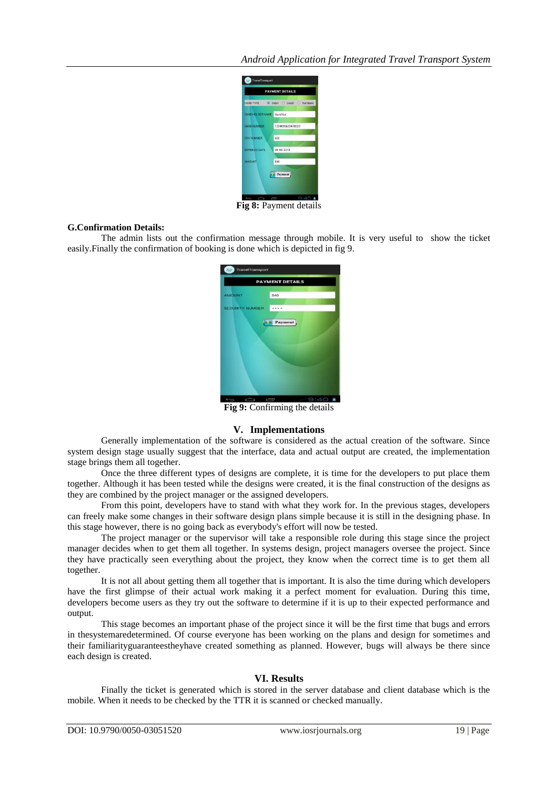

**Fig 8:** Payment details

### **G.Confirmation Details:**

The admin lists out the confirmation message through mobile. It is very useful to show the ticket easily.Finally the confirmation of booking is done which is depicted in fig 9.

| <b>TravelTransport</b> |           |  |  |
|------------------------|-----------|--|--|
| <b>PAYMENT DETAILS</b> |           |  |  |
| <b>AMOUNT</b>          | 840       |  |  |
| <b>SECURITY NUMBER</b> |           |  |  |
|                        | Payment   |  |  |
|                        | 9:40<br>Ī |  |  |

**Fig 9:** Confirming the details

## **V. Implementations**

Generally implementation of the software is considered as the actual creation of the software. Since system design stage usually suggest that the interface, data and actual output are created, the implementation stage brings them all together.

Once the three different types of designs are complete, it is time for the developers to put place them together. Although it has been tested while the designs were created, it is the final construction of the designs as they are combined by the project manager or the assigned developers.

From this point, developers have to stand with what they work for. In the previous stages, developers can freely make some changes in their software design plans simple because it is still in the designing phase. In this stage however, there is no going back as everybody's effort will now be tested.

The project manager or the supervisor will take a responsible role during this stage since the project manager decides when to get them all together. In systems design, project managers oversee the project. Since they have practically seen everything about the project, they know when the correct time is to get them all together.

It is not all about getting them all together that is important. It is also the time during which developers have the first glimpse of their actual work making it a perfect moment for evaluation. During this time, developers become users as they try out the software to determine if it is up to their expected performance and output.

This stage becomes an important phase of the project since it will be the first time that bugs and errors in thesystemaredetermined. Of course everyone has been working on the plans and design for sometimes and their familiarityguaranteestheyhave created something as planned. However, bugs will always be there since each design is created.

## **VI. Results**

Finally the ticket is generated which is stored in the server database and client database which is the mobile. When it needs to be checked by the TTR it is scanned or checked manually.